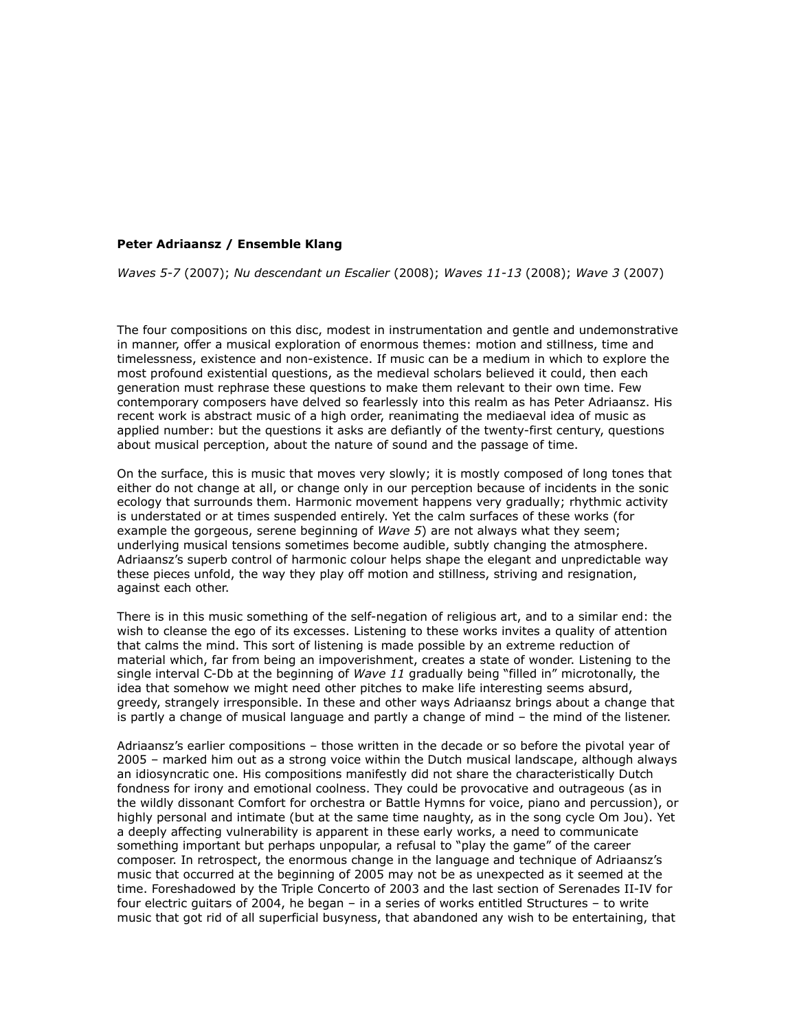## **Peter Adriaansz / Ensemble Klang**

*Waves 5-7* (2007); *Nu descendant un Escalier* (2008); *Waves 11-13* (2008); *Wave 3* (2007)

The four compositions on this disc, modest in instrumentation and gentle and undemonstrative in manner, offer a musical exploration of enormous themes: motion and stillness, time and timelessness, existence and non-existence. If music can be a medium in which to explore the most profound existential questions, as the medieval scholars believed it could, then each generation must rephrase these questions to make them relevant to their own time. Few contemporary composers have delved so fearlessly into this realm as has Peter Adriaansz. His recent work is abstract music of a high order, reanimating the mediaeval idea of music as applied number: but the questions it asks are defiantly of the twenty-first century, questions about musical perception, about the nature of sound and the passage of time.

On the surface, this is music that moves very slowly; it is mostly composed of long tones that either do not change at all, or change only in our perception because of incidents in the sonic ecology that surrounds them. Harmonic movement happens very gradually; rhythmic activity is understated or at times suspended entirely. Yet the calm surfaces of these works (for example the gorgeous, serene beginning of *Wave 5*) are not always what they seem; underlying musical tensions sometimes become audible, subtly changing the atmosphere. Adriaansz's superb control of harmonic colour helps shape the elegant and unpredictable way these pieces unfold, the way they play off motion and stillness, striving and resignation, against each other.

There is in this music something of the self-negation of religious art, and to a similar end: the wish to cleanse the ego of its excesses. Listening to these works invites a quality of attention that calms the mind. This sort of listening is made possible by an extreme reduction of material which, far from being an impoverishment, creates a state of wonder. Listening to the single interval C-Db at the beginning of *Wave 11* gradually being "filled in" microtonally, the idea that somehow we might need other pitches to make life interesting seems absurd, greedy, strangely irresponsible. In these and other ways Adriaansz brings about a change that is partly a change of musical language and partly a change of mind – the mind of the listener.

Adriaansz's earlier compositions – those written in the decade or so before the pivotal year of 2005 – marked him out as a strong voice within the Dutch musical landscape, although always an idiosyncratic one. His compositions manifestly did not share the characteristically Dutch fondness for irony and emotional coolness. They could be provocative and outrageous (as in the wildly dissonant Comfort for orchestra or Battle Hymns for voice, piano and percussion), or highly personal and intimate (but at the same time naughty, as in the song cycle Om Jou). Yet a deeply affecting vulnerability is apparent in these early works, a need to communicate something important but perhaps unpopular, a refusal to "play the game" of the career composer. In retrospect, the enormous change in the language and technique of Adriaansz's music that occurred at the beginning of 2005 may not be as unexpected as it seemed at the time. Foreshadowed by the Triple Concerto of 2003 and the last section of Serenades II-IV for four electric guitars of 2004, he began – in a series of works entitled Structures – to write music that got rid of all superficial busyness, that abandoned any wish to be entertaining, that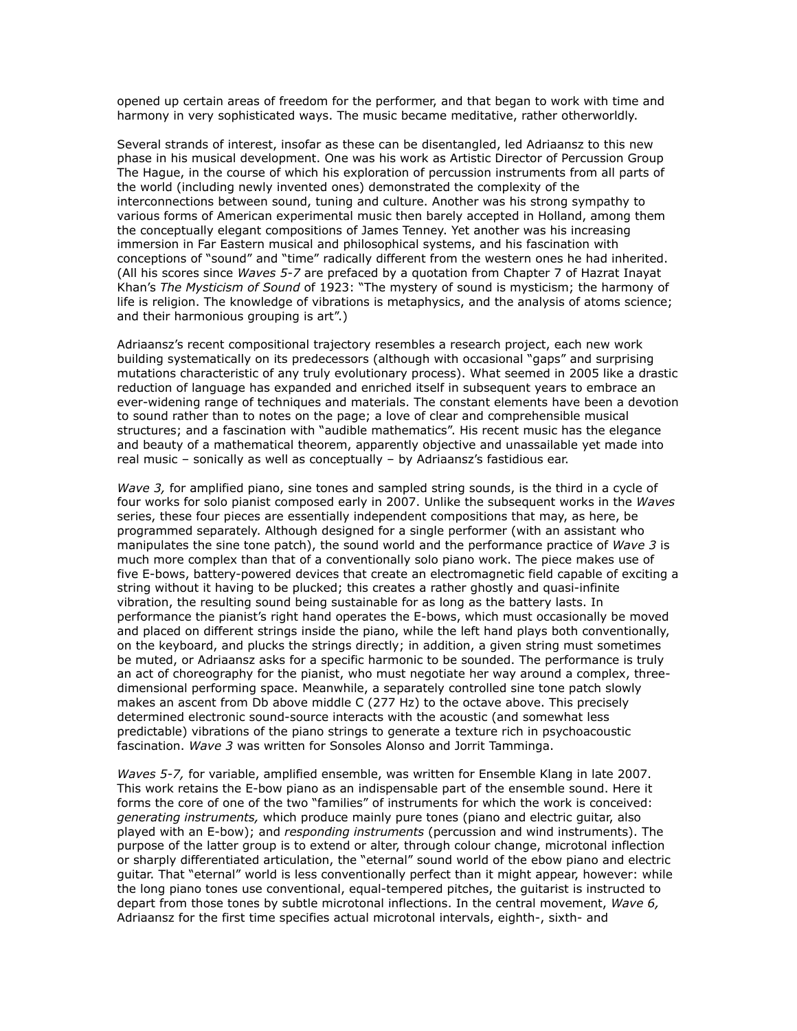opened up certain areas of freedom for the performer, and that began to work with time and harmony in very sophisticated ways. The music became meditative, rather otherworldly.

Several strands of interest, insofar as these can be disentangled, led Adriaansz to this new phase in his musical development. One was his work as Artistic Director of Percussion Group The Hague, in the course of which his exploration of percussion instruments from all parts of the world (including newly invented ones) demonstrated the complexity of the interconnections between sound, tuning and culture. Another was his strong sympathy to various forms of American experimental music then barely accepted in Holland, among them the conceptually elegant compositions of James Tenney. Yet another was his increasing immersion in Far Eastern musical and philosophical systems, and his fascination with conceptions of "sound" and "time" radically different from the western ones he had inherited. (All his scores since *Waves 5-7* are prefaced by a quotation from Chapter 7 of Hazrat Inayat Khan's *The Mysticism of Sound* of 1923: "The mystery of sound is mysticism; the harmony of life is religion. The knowledge of vibrations is metaphysics, and the analysis of atoms science; and their harmonious grouping is art".)

Adriaansz's recent compositional trajectory resembles a research project, each new work building systematically on its predecessors (although with occasional "gaps" and surprising mutations characteristic of any truly evolutionary process). What seemed in 2005 like a drastic reduction of language has expanded and enriched itself in subsequent years to embrace an ever-widening range of techniques and materials. The constant elements have been a devotion to sound rather than to notes on the page; a love of clear and comprehensible musical structures; and a fascination with "audible mathematics". His recent music has the elegance and beauty of a mathematical theorem, apparently objective and unassailable yet made into real music – sonically as well as conceptually – by Adriaansz's fastidious ear.

*Wave 3,* for amplified piano, sine tones and sampled string sounds, is the third in a cycle of four works for solo pianist composed early in 2007. Unlike the subsequent works in the *Waves*  series, these four pieces are essentially independent compositions that may, as here, be programmed separately. Although designed for a single performer (with an assistant who manipulates the sine tone patch), the sound world and the performance practice of *Wave 3* is much more complex than that of a conventionally solo piano work. The piece makes use of five E-bows, battery-powered devices that create an electromagnetic field capable of exciting a string without it having to be plucked; this creates a rather ghostly and quasi-infinite vibration, the resulting sound being sustainable for as long as the battery lasts. In performance the pianist's right hand operates the E-bows, which must occasionally be moved and placed on different strings inside the piano, while the left hand plays both conventionally, on the keyboard, and plucks the strings directly; in addition, a given string must sometimes be muted, or Adriaansz asks for a specific harmonic to be sounded. The performance is truly an act of choreography for the pianist, who must negotiate her way around a complex, threedimensional performing space. Meanwhile, a separately controlled sine tone patch slowly makes an ascent from Db above middle C (277 Hz) to the octave above. This precisely determined electronic sound-source interacts with the acoustic (and somewhat less predictable) vibrations of the piano strings to generate a texture rich in psychoacoustic fascination. *Wave 3* was written for Sonsoles Alonso and Jorrit Tamminga.

*Waves 5-7,* for variable, amplified ensemble, was written for Ensemble Klang in late 2007. This work retains the E-bow piano as an indispensable part of the ensemble sound. Here it forms the core of one of the two "families" of instruments for which the work is conceived: *generating instruments,* which produce mainly pure tones (piano and electric guitar, also played with an E-bow); and *responding instruments* (percussion and wind instruments). The purpose of the latter group is to extend or alter, through colour change, microtonal inflection or sharply differentiated articulation, the "eternal" sound world of the ebow piano and electric guitar. That "eternal" world is less conventionally perfect than it might appear, however: while the long piano tones use conventional, equal-tempered pitches, the guitarist is instructed to depart from those tones by subtle microtonal inflections. In the central movement, *Wave 6,*  Adriaansz for the first time specifies actual microtonal intervals, eighth-, sixth- and